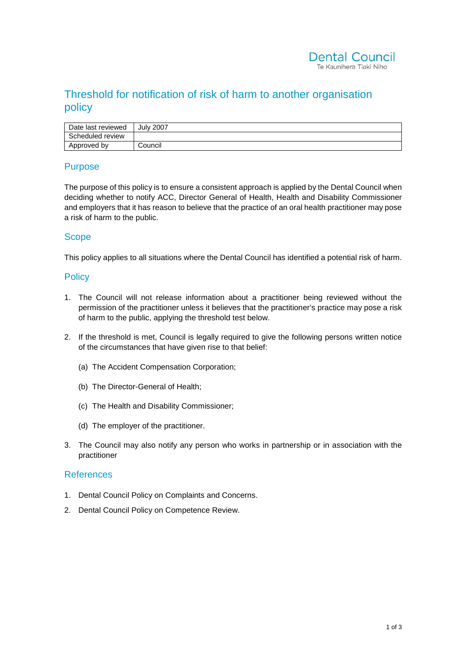# Threshold for notification of risk of harm to another organisation policy

| Date last reviewed | <b>July 2007</b> |
|--------------------|------------------|
| Scheduled review   |                  |
| Approved by        | Council          |

#### Purpose

The purpose of this policy is to ensure a consistent approach is applied by the Dental Council when deciding whether to notify ACC, Director General of Health, Health and Disability Commissioner and employers that it has reason to believe that the practice of an oral health practitioner may pose a risk of harm to the public.

### **Scope**

This policy applies to all situations where the Dental Council has identified a potential risk of harm.

#### **Policy**

- 1. The Council will not release information about a practitioner being reviewed without the permission of the practitioner unless it believes that the practitioner's practice may pose a risk of harm to the public, applying the threshold test below.
- 2. If the threshold is met, Council is legally required to give the following persons written notice of the circumstances that have given rise to that belief:
	- (a) The Accident Compensation Corporation;
	- (b) The Director-General of Health;
	- (c) The Health and Disability Commissioner;
	- (d) The employer of the practitioner.
- 3. The Council may also notify any person who works in partnership or in association with the practitioner

#### References

- 1. Dental Council Policy on Complaints and Concerns.
- 2. Dental Council Policy on Competence Review.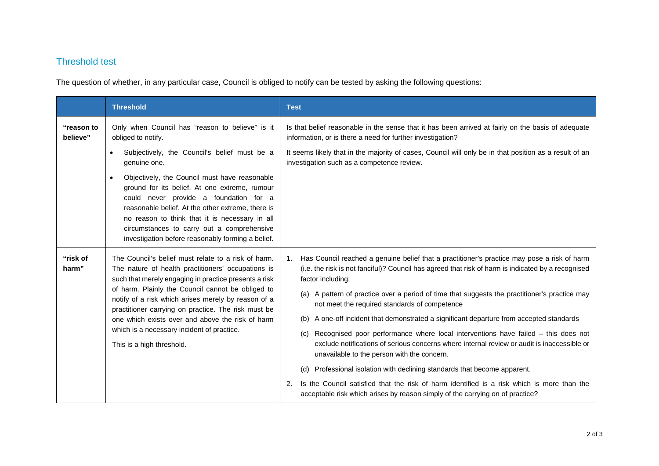## Threshold test

The question of whether, in any particular case, Council is obliged to notify can be tested by asking the following questions:

|                        | <b>Threshold</b>                                                                                                                                                                                                                                                                                                                                                                                                                                                     | <b>Test</b>                                                                                                                                                                                                                                                                                                                                                                                                                                                                                                                                                                                                                                                                                                                                                                                          |  |
|------------------------|----------------------------------------------------------------------------------------------------------------------------------------------------------------------------------------------------------------------------------------------------------------------------------------------------------------------------------------------------------------------------------------------------------------------------------------------------------------------|------------------------------------------------------------------------------------------------------------------------------------------------------------------------------------------------------------------------------------------------------------------------------------------------------------------------------------------------------------------------------------------------------------------------------------------------------------------------------------------------------------------------------------------------------------------------------------------------------------------------------------------------------------------------------------------------------------------------------------------------------------------------------------------------------|--|
| "reason to<br>believe" | Only when Council has "reason to believe" is it<br>obliged to notify.                                                                                                                                                                                                                                                                                                                                                                                                | Is that belief reasonable in the sense that it has been arrived at fairly on the basis of adequate<br>information, or is there a need for further investigation?<br>It seems likely that in the majority of cases, Council will only be in that position as a result of an<br>investigation such as a competence review.                                                                                                                                                                                                                                                                                                                                                                                                                                                                             |  |
|                        | Subjectively, the Council's belief must be a<br>$\bullet$<br>genuine one.                                                                                                                                                                                                                                                                                                                                                                                            |                                                                                                                                                                                                                                                                                                                                                                                                                                                                                                                                                                                                                                                                                                                                                                                                      |  |
|                        | Objectively, the Council must have reasonable<br>$\bullet$<br>ground for its belief. At one extreme, rumour<br>could never provide a foundation for a<br>reasonable belief. At the other extreme, there is<br>no reason to think that it is necessary in all<br>circumstances to carry out a comprehensive<br>investigation before reasonably forming a belief.                                                                                                      |                                                                                                                                                                                                                                                                                                                                                                                                                                                                                                                                                                                                                                                                                                                                                                                                      |  |
| "risk of<br>harm"      | The Council's belief must relate to a risk of harm.<br>The nature of health practitioners' occupations is<br>such that merely engaging in practice presents a risk<br>of harm. Plainly the Council cannot be obliged to<br>notify of a risk which arises merely by reason of a<br>practitioner carrying on practice. The risk must be<br>one which exists over and above the risk of harm<br>which is a necessary incident of practice.<br>This is a high threshold. | Has Council reached a genuine belief that a practitioner's practice may pose a risk of harm<br>1.<br>(i.e. the risk is not fanciful)? Council has agreed that risk of harm is indicated by a recognised<br>factor including:<br>(a) A pattern of practice over a period of time that suggests the practitioner's practice may<br>not meet the required standards of competence<br>A one-off incident that demonstrated a significant departure from accepted standards<br>(b)<br>Recognised poor performance where local interventions have failed - this does not<br>(c)<br>exclude notifications of serious concerns where internal review or audit is inaccessible or<br>unavailable to the person with the concern.<br>(d) Professional isolation with declining standards that become apparent. |  |
|                        |                                                                                                                                                                                                                                                                                                                                                                                                                                                                      | Is the Council satisfied that the risk of harm identified is a risk which is more than the<br>2.<br>acceptable risk which arises by reason simply of the carrying on of practice?                                                                                                                                                                                                                                                                                                                                                                                                                                                                                                                                                                                                                    |  |